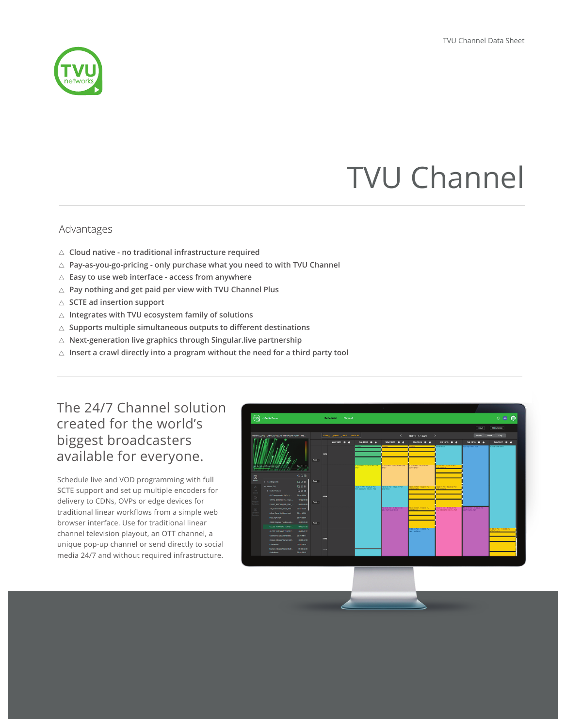

# TVU Channel

### Advantages

- **Cloud native no traditional infrastructure required**
- **Pay-as-you-go-pricing only purchase what you need to with TVU Channel**
- **Easy to use web interface access from anywhere**
- **Pay nothing and get paid per view with TVU Channel Plus**
- **SCTE ad insertion support**
- **Integrates with TVU ecosystem family of solutions**
- **Supports multiple simultaneous outputs to different destinations**
- **Next-generation live graphics through Singular.live partnership**
- **Insert a crawl directly into a program without the need for a third party tool**

# The 24/7 Channel solution created for the world's biggest broadcasters available for everyone.

Schedule live and VOD programming with full SCTE support and set up multiple encoders for delivery to CDNs, OVPs or edge devices for traditional linear workflows from a simple web browser interface. Use for traditional linear channel television playout, an OTT channel, a unique pop-up channel or send directly to social media 24/7 and without required infrastructure.